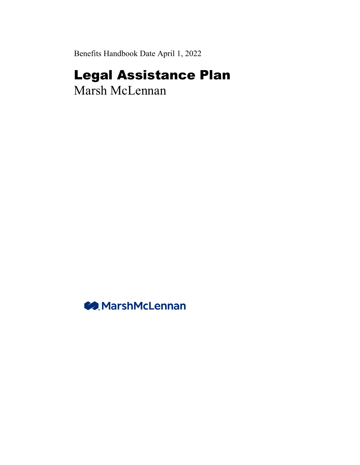Benefits Handbook Date April 1, 2022

# Legal Assistance Plan

Marsh McLennan

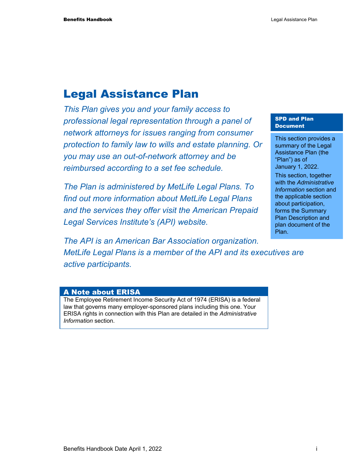# Legal Assistance Plan

*This Plan gives you and your family access to professional legal representation through a panel of network attorneys for issues ranging from consumer protection to family law to wills and estate planning. Or you may use an out-of-network attorney and be reimbursed according to a set fee schedule.* 

*The Plan is administered by MetLife Legal Plans. To find out more information about MetLife Legal Plans and the services they offer visit the American Prepaid Legal Services Institute's (API) website.* 

#### SPD and Plan Document

This section provides a summary of the Legal Assistance Plan (the "Plan") as of January 1, 2022.

This section, together with the *Administrative Information* section and the applicable section about participation, forms the Summary Plan Description and plan document of the Plan.

*The API is an American Bar Association organization. MetLife Legal Plans is a member of the API and its executives are active participants.* 

#### A Note about ERISA

The Employee Retirement Income Security Act of 1974 (ERISA) is a federal law that governs many employer-sponsored plans including this one. Your ERISA rights in connection with this Plan are detailed in the *Administrative Information* section.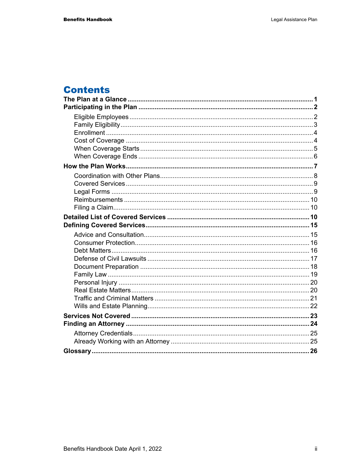# **Contents**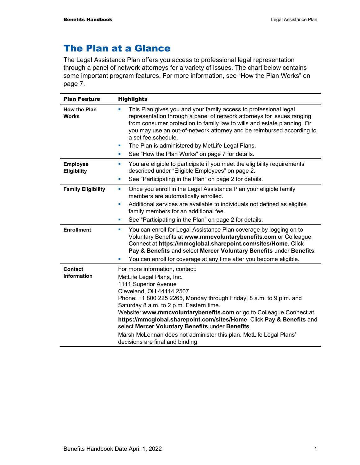# The Plan at a Glance

The Legal Assistance Plan offers you access to professional legal representation through a panel of network attorneys for a variety of issues. The chart below contains some important program features. For more information, see "How the Plan Works" on page 7.

| <b>Plan Feature</b>                  | <b>Highlights</b>                                                                                                                                                                                                                                                                                                                                                                                                                                                                                                                               |  |  |  |
|--------------------------------------|-------------------------------------------------------------------------------------------------------------------------------------------------------------------------------------------------------------------------------------------------------------------------------------------------------------------------------------------------------------------------------------------------------------------------------------------------------------------------------------------------------------------------------------------------|--|--|--|
| <b>How the Plan</b><br><b>Works</b>  | This Plan gives you and your family access to professional legal<br>representation through a panel of network attorneys for issues ranging<br>from consumer protection to family law to wills and estate planning. Or<br>you may use an out-of-network attorney and be reimbursed according to<br>a set fee schedule.<br>The Plan is administered by MetLife Legal Plans.<br>×<br>See "How the Plan Works" on page 7 for details.                                                                                                               |  |  |  |
| <b>Employee</b><br>Eligibility       | You are eligible to participate if you meet the eligibility requirements<br>u.<br>described under "Eligible Employees" on page 2.<br>See "Participating in the Plan" on page 2 for details.<br>ш                                                                                                                                                                                                                                                                                                                                                |  |  |  |
| <b>Family Eligibility</b>            | Once you enroll in the Legal Assistance Plan your eligible family<br>ш<br>members are automatically enrolled.<br>Additional services are available to individuals not defined as eligible<br>ш<br>family members for an additional fee.<br>See "Participating in the Plan" on page 2 for details.<br>ш                                                                                                                                                                                                                                          |  |  |  |
| <b>Enrollment</b>                    | You can enroll for Legal Assistance Plan coverage by logging on to<br><b>I</b><br>Voluntary Benefits at www.mmcvoluntarybenefits.com or Colleague<br>Connect at https://mmcglobal.sharepoint.com/sites/Home. Click<br>Pay & Benefits and select Mercer Voluntary Benefits under Benefits.<br>You can enroll for coverage at any time after you become eligible.                                                                                                                                                                                 |  |  |  |
| <b>Contact</b><br><b>Information</b> | For more information, contact:<br>MetLife Legal Plans, Inc.<br>1111 Superior Avenue<br>Cleveland, OH 44114 2507<br>Phone: +1 800 225 2265, Monday through Friday, 8 a.m. to 9 p.m. and<br>Saturday 8 a.m. to 2 p.m. Eastern time.<br>Website: www.mmcvoluntarybenefits.com or go to Colleague Connect at<br>https://mmcglobal.sharepoint.com/sites/Home. Click Pay & Benefits and<br>select Mercer Voluntary Benefits under Benefits.<br>Marsh McLennan does not administer this plan. MetLife Legal Plans'<br>decisions are final and binding. |  |  |  |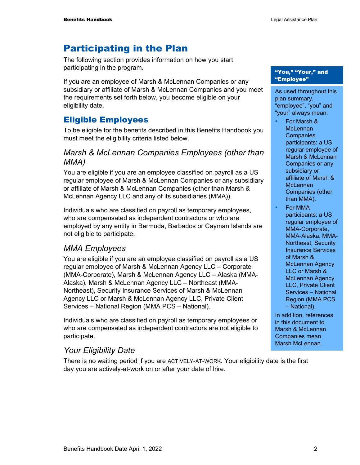# Participating in the Plan

The following section provides information on how you start participating in the program.

If you are an employee of Marsh & McLennan Companies or any subsidiary or affiliate of Marsh & McLennan Companies and you meet the requirements set forth below, you become eligible on your eligibility date.

### Eligible Employees

To be eligible for the benefits described in this Benefits Handbook you must meet the eligibility criteria listed below.

### *Marsh & McLennan Companies Employees (other than MMA)*

You are eligible if you are an employee classified on payroll as a US regular employee of Marsh & McLennan Companies or any subsidiary or affiliate of Marsh & McLennan Companies (other than Marsh & McLennan Agency LLC and any of its subsidiaries (MMA)).

Individuals who are classified on payroll as temporary employees, who are compensated as independent contractors or who are employed by any entity in Bermuda, Barbados or Cayman Islands are not eligible to participate.

### *MMA Employees*

You are eligible if you are an employee classified on payroll as a US regular employee of Marsh & McLennan Agency LLC – Corporate (MMA-Corporate), Marsh & McLennan Agency LLC – Alaska (MMA-Alaska), Marsh & McLennan Agency LLC – Northeast (MMA-Northeast), Security Insurance Services of Marsh & McLennan Agency LLC or Marsh & McLennan Agency LLC, Private Client Services – National Region (MMA PCS – National).

Individuals who are classified on payroll as temporary employees or who are compensated as independent contractors are not eligible to participate.

### *Your Eligibility Date*

There is no waiting period if you are ACTIVELY-AT-WORK. Your eligibility date is the first day you are actively-at-work on or after your date of hire.

#### "You," "Your," and "Employee"

As used throughout this plan summary, "employee", "you" and "your" always mean:

- For Marsh & **McLennan Companies** participants: a US regular employee of Marsh & McLennan Companies or any subsidiary or affiliate of Marsh & **McLennan** Companies (other than MMA).
- For MMA participants: a US regular employee of MMA-Corporate, MMA-Alaska, MMA-Northeast, Security Insurance Services of Marsh & McLennan Agency LLC or Marsh & McLennan Agency LLC, Private Client Services – National Region (MMA PCS – National).

In addition, references in this document to Marsh & McLennan Companies mean Marsh McLennan.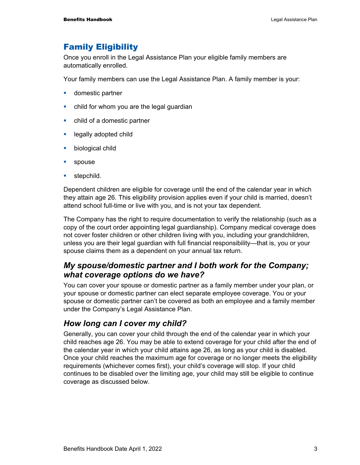### Family Eligibility

Once you enroll in the Legal Assistance Plan your eligible family members are automatically enrolled.

Your family members can use the Legal Assistance Plan. A family member is your:

- **domestic partner**
- child for whom you are the legal guardian
- child of a domestic partner
- **Example 2** legally adopted child
- **•** biological child
- **spouse**
- stepchild.

Dependent children are eligible for coverage until the end of the calendar year in which they attain age 26. This eligibility provision applies even if your child is married, doesn't attend school full-time or live with you, and is not your tax dependent.

The Company has the right to require documentation to verify the relationship (such as a copy of the court order appointing legal guardianship). Company medical coverage does not cover foster children or other children living with you, including your grandchildren, unless you are their legal guardian with full financial responsibility—that is, you or your spouse claims them as a dependent on your annual tax return.

### *My spouse/domestic partner and I both work for the Company; what coverage options do we have?*

You can cover your spouse or domestic partner as a family member under your plan, or your spouse or domestic partner can elect separate employee coverage. You or your spouse or domestic partner can't be covered as both an employee and a family member under the Company's Legal Assistance Plan.

### *How long can I cover my child?*

Generally, you can cover your child through the end of the calendar year in which your child reaches age 26. You may be able to extend coverage for your child after the end of the calendar year in which your child attains age 26, as long as your child is disabled. Once your child reaches the maximum age for coverage or no longer meets the eligibility requirements (whichever comes first), your child's coverage will stop. If your child continues to be disabled over the limiting age, your child may still be eligible to continue coverage as discussed below.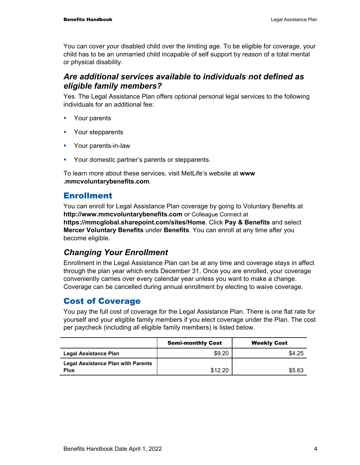You can cover your disabled child over the limiting age. To be eligible for coverage, your child has to be an unmarried child incapable of self support by reason of a total mental or physical disability.

### *Are additional services available to individuals not defined as eligible family members?*

Yes. The Legal Assistance Plan offers optional personal legal services to the following individuals for an additional fee:

- **•** Your parents
- Your stepparents
- **Your parents-in-law**
- Your domestic partner's parents or stepparents.

To learn more about these services, visit MetLife's website at **www .mmcvoluntarybenefits.com**.

### Enrollment

You can enroll for Legal Assistance Plan coverage by going to Voluntary Benefits at **http://www.mmcvoluntarybenefits.com** or Colleague Connect at **https://mmcglobal.sharepoint.com/sites/Home**. Click **Pay & Benefits** and select **Mercer Voluntary Benefits** under **Benefits**. You can enroll at any time after you become eligible.

### *Changing Your Enrollment*

Enrollment in the Legal Assistance Plan can be at any time and coverage stays in affect through the plan year which ends December 31. Once you are enrolled, your coverage conveniently carries over every calendar year unless you want to make a change. Coverage can be cancelled during annual enrollment by electing to waive coverage.

### Cost of Coverage

You pay the full cost of coverage for the Legal Assistance Plan. There is one flat rate for yourself and your eligible family members if you elect coverage under the Plan. The cost per paycheck (including all eligible family members) is listed below.

|                                                          | <b>Semi-monthly Cost</b> | <b>Weekly Cost</b> |
|----------------------------------------------------------|--------------------------|--------------------|
| Legal Assistance Plan                                    | \$9.20                   | \$4.25             |
| <b>Legal Assistance Plan with Parents</b><br><b>Plus</b> | \$12.20                  | \$5.63             |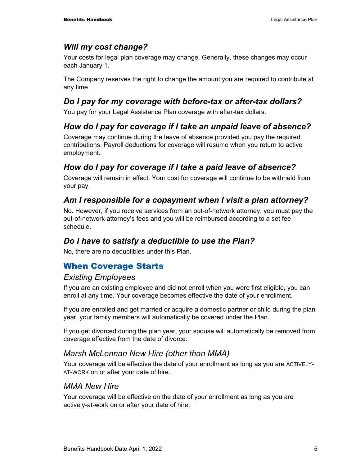### *Will my cost change?*

Your costs for legal plan coverage may change. Generally, these changes may occur each January 1.

The Company reserves the right to change the amount you are required to contribute at any time.

### *Do I pay for my coverage with before-tax or after-tax dollars?*

You pay for your Legal Assistance Plan coverage with after-tax dollars.

### *How do I pay for coverage if I take an unpaid leave of absence?*

Coverage may continue during the leave of absence provided you pay the required contributions. Payroll deductions for coverage will resume when you return to active employment.

### *How do I pay for coverage if I take a paid leave of absence?*

Coverage will remain in effect. Your cost for coverage will continue to be withheld from your pay.

### *Am I responsible for a copayment when I visit a plan attorney?*

No. However, if you receive services from an out-of-network attorney, you must pay the out-of-network attorney's fees and you will be reimbursed according to a set fee schedule.

### *Do I have to satisfy a deductible to use the Plan?*

No, there are no deductibles under this Plan.

## When Coverage Starts

### *Existing Employees*

If you are an existing employee and did not enroll when you were first eligible, you can enroll at any time. Your coverage becomes effective the date of your enrollment.

If you are enrolled and get married or acquire a domestic partner or child during the plan year, your family members will automatically be covered under the Plan.

If you get divorced during the plan year, your spouse will automatically be removed from coverage effective from the date of divorce.

### *Marsh McLennan New Hire (other than MMA)*

Your coverage will be effective the date of your enrollment as long as you are ACTIVELY-AT-WORK on or after your date of hire.

### *MMA New Hire*

Your coverage will be effective on the date of your enrollment as long as you are actively-at-work on or after your date of hire.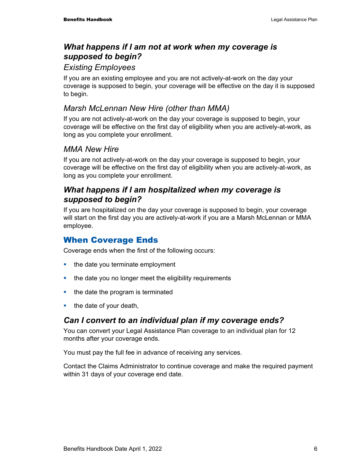### *What happens if I am not at work when my coverage is supposed to begin?*

### *Existing Employees*

If you are an existing employee and you are not actively-at-work on the day your coverage is supposed to begin, your coverage will be effective on the day it is supposed to begin.

### *Marsh McLennan New Hire (other than MMA)*

If you are not actively-at-work on the day your coverage is supposed to begin, your coverage will be effective on the first day of eligibility when you are actively-at-work, as long as you complete your enrollment.

### *MMA New Hire*

If you are not actively-at-work on the day your coverage is supposed to begin, your coverage will be effective on the first day of eligibility when you are actively-at-work, as long as you complete your enrollment.

### *What happens if I am hospitalized when my coverage is supposed to begin?*

If you are hospitalized on the day your coverage is supposed to begin, your coverage will start on the first day you are actively-at-work if you are a Marsh McLennan or MMA employee.

### When Coverage Ends

Coverage ends when the first of the following occurs:

- the date you terminate employment
- the date you no longer meet the eligibility requirements
- $\blacksquare$  the date the program is terminated
- $\blacksquare$  the date of your death,

### *Can I convert to an individual plan if my coverage ends?*

You can convert your Legal Assistance Plan coverage to an individual plan for 12 months after your coverage ends.

You must pay the full fee in advance of receiving any services.

Contact the Claims Administrator to continue coverage and make the required payment within 31 days of your coverage end date.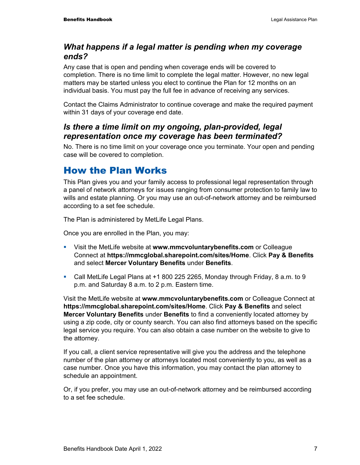### *What happens if a legal matter is pending when my coverage ends?*

Any case that is open and pending when coverage ends will be covered to completion. There is no time limit to complete the legal matter. However, no new legal matters may be started unless you elect to continue the Plan for 12 months on an individual basis. You must pay the full fee in advance of receiving any services.

Contact the Claims Administrator to continue coverage and make the required payment within 31 days of your coverage end date.

### *Is there a time limit on my ongoing, plan-provided, legal representation once my coverage has been terminated?*

No. There is no time limit on your coverage once you terminate. Your open and pending case will be covered to completion.

# How the Plan Works

This Plan gives you and your family access to professional legal representation through a panel of network attorneys for issues ranging from consumer protection to family law to wills and estate planning. Or you may use an out-of-network attorney and be reimbursed according to a set fee schedule.

The Plan is administered by MetLife Legal Plans.

Once you are enrolled in the Plan, you may:

- Visit the MetLife website at **www.mmcvoluntarybenefits.com** or Colleague Connect at **https://mmcglobal.sharepoint.com/sites/Home**. Click **Pay & Benefits** and select **Mercer Voluntary Benefits** under **Benefits**.
- Call MetLife Legal Plans at +1 800 225 2265, Monday through Friday, 8 a.m. to 9 p.m. and Saturday 8 a.m. to 2 p.m. Eastern time.

Visit the MetLife website at **www.mmcvoluntarybenefits.com** or Colleague Connect at **https://mmcglobal.sharepoint.com/sites/Home**. Click **Pay & Benefits** and select **Mercer Voluntary Benefits** under **Benefits** to find a conveniently located attorney by using a zip code, city or county search. You can also find attorneys based on the specific legal service you require. You can also obtain a case number on the website to give to the attorney.

If you call, a client service representative will give you the address and the telephone number of the plan attorney or attorneys located most conveniently to you, as well as a case number. Once you have this information, you may contact the plan attorney to schedule an appointment.

Or, if you prefer, you may use an out-of-network attorney and be reimbursed according to a set fee schedule.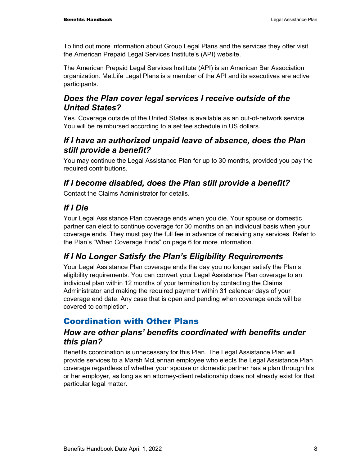To find out more information about Group Legal Plans and the services they offer visit the American Prepaid Legal Services Institute's (API) website.

The American Prepaid Legal Services Institute (API) is an American Bar Association organization. MetLife Legal Plans is a member of the API and its executives are active participants.

### *Does the Plan cover legal services I receive outside of the United States?*

Yes. Coverage outside of the United States is available as an out-of-network service. You will be reimbursed according to a set fee schedule in US dollars.

### *If I have an authorized unpaid leave of absence, does the Plan still provide a benefit?*

You may continue the Legal Assistance Plan for up to 30 months, provided you pay the required contributions.

### *If I become disabled, does the Plan still provide a benefit?*

Contact the Claims Administrator for details.

### *If I Die*

Your Legal Assistance Plan coverage ends when you die. Your spouse or domestic partner can elect to continue coverage for 30 months on an individual basis when your coverage ends. They must pay the full fee in advance of receiving any services. Refer to the Plan's "When Coverage Ends" on page 6 for more information.

### *If I No Longer Satisfy the Plan's Eligibility Requirements*

Your Legal Assistance Plan coverage ends the day you no longer satisfy the Plan's eligibility requirements. You can convert your Legal Assistance Plan coverage to an individual plan within 12 months of your termination by contacting the Claims Administrator and making the required payment within 31 calendar days of your coverage end date. Any case that is open and pending when coverage ends will be covered to completion.

### Coordination with Other Plans

### *How are other plans' benefits coordinated with benefits under this plan?*

Benefits coordination is unnecessary for this Plan. The Legal Assistance Plan will provide services to a Marsh McLennan employee who elects the Legal Assistance Plan coverage regardless of whether your spouse or domestic partner has a plan through his or her employer, as long as an attorney-client relationship does not already exist for that particular legal matter.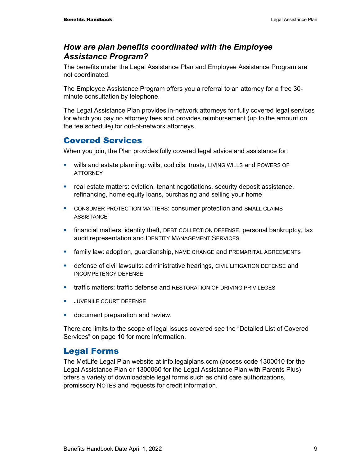### *How are plan benefits coordinated with the Employee Assistance Program?*

The benefits under the Legal Assistance Plan and Employee Assistance Program are not coordinated.

The Employee Assistance Program offers you a referral to an attorney for a free 30 minute consultation by telephone.

The Legal Assistance Plan provides in-network attorneys for fully covered legal services for which you pay no attorney fees and provides reimbursement (up to the amount on the fee schedule) for out-of-network attorneys.

### Covered Services

When you join, the Plan provides fully covered legal advice and assistance for:

- wills and estate planning: wills, codicils, trusts, LIVING WILLS and POWERS OF **ATTORNEY**
- **•** real estate matters: eviction, tenant negotiations, security deposit assistance, refinancing, home equity loans, purchasing and selling your home
- CONSUMER PROTECTION MATTERS: consumer protection and SMALL CLAIMS ASSISTANCE
- financial matters: identity theft, DEBT COLLECTION DEFENSE, personal bankruptcy, tax audit representation and IDENTITY MANAGEMENT SERVICES
- **family law: adoption, guardianship, NAME CHANGE and PREMARITAL AGREEMENTS**
- defense of civil lawsuits: administrative hearings, CIVIL LITIGATION DEFENSE and INCOMPETENCY DEFENSE
- **traffic matters: traffic defense and RESTORATION OF DRIVING PRIVILEGES**
- UUVENILE COURT DEFENSE
- **document preparation and review.**

There are limits to the scope of legal issues covered see the "Detailed List of Covered Services" on page 10 for more information.

### Legal Forms

The MetLife Legal Plan website at info.legalplans.com (access code 1300010 for the Legal Assistance Plan or 1300060 for the Legal Assistance Plan with Parents Plus) offers a variety of downloadable legal forms such as child care authorizations, promissory NOTES and requests for credit information.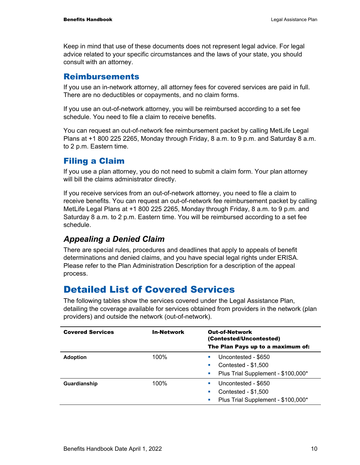Keep in mind that use of these documents does not represent legal advice. For legal advice related to your specific circumstances and the laws of your state, you should consult with an attorney.

### Reimbursements

If you use an in-network attorney, all attorney fees for covered services are paid in full. There are no deductibles or copayments, and no claim forms.

If you use an out-of-network attorney, you will be reimbursed according to a set fee schedule. You need to file a claim to receive benefits.

You can request an out-of-network fee reimbursement packet by calling MetLife Legal Plans at +1 800 225 2265, Monday through Friday, 8 a.m. to 9 p.m. and Saturday 8 a.m. to 2 p.m. Eastern time.

### Filing a Claim

If you use a plan attorney, you do not need to submit a claim form. Your plan attorney will bill the claims administrator directly.

If you receive services from an out-of-network attorney, you need to file a claim to receive benefits. You can request an out-of-network fee reimbursement packet by calling MetLife Legal Plans at +1 800 225 2265, Monday through Friday, 8 a.m. to 9 p.m. and Saturday 8 a.m. to 2 p.m. Eastern time. You will be reimbursed according to a set fee schedule.

### *Appealing a Denied Claim*

There are special rules, procedures and deadlines that apply to appeals of benefit determinations and denied claims, and you have special legal rights under ERISA. Please refer to the Plan Administration Description for a description of the appeal process.

## Detailed List of Covered Services

The following tables show the services covered under the Legal Assistance Plan, detailing the coverage available for services obtained from providers in the network (plan providers) and outside the network (out-of-network).

| <b>Covered Services</b> | <b>In-Network</b> | <b>Out-of-Network</b><br>(Contested/Uncontested)                                                   |  |
|-------------------------|-------------------|----------------------------------------------------------------------------------------------------|--|
|                         |                   | The Plan Pays up to a maximum of:                                                                  |  |
| <b>Adoption</b>         | 100%              | Uncontested - \$650<br>Contested - \$1,500<br>Plus Trial Supplement - \$100,000*<br>$\blacksquare$ |  |
| Guardianship            | 100%              | Uncontested - \$650<br>Contested - \$1,500<br>ш<br>Plus Trial Supplement - \$100,000*<br>ш         |  |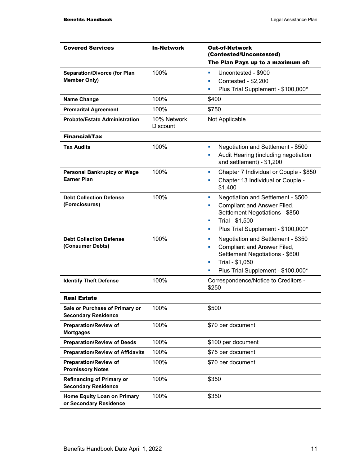| <b>Covered Services</b>                                        | <b>In-Network</b>              | <b>Out-of-Network</b><br>(Contested/Uncontested)                                                                                                                                     |  |
|----------------------------------------------------------------|--------------------------------|--------------------------------------------------------------------------------------------------------------------------------------------------------------------------------------|--|
|                                                                |                                | The Plan Pays up to a maximum of:                                                                                                                                                    |  |
| <b>Separation/Divorce (for Plan</b><br><b>Member Only)</b>     | 100%                           | Uncontested - \$900<br>٠<br>Contested - \$2,200<br>Plus Trial Supplement - \$100,000*                                                                                                |  |
| <b>Name Change</b>                                             | 100%                           | \$400                                                                                                                                                                                |  |
| <b>Premarital Agreement</b>                                    | 100%                           | \$750                                                                                                                                                                                |  |
| <b>Probate/Estate Administration</b>                           | 10% Network<br><b>Discount</b> | Not Applicable                                                                                                                                                                       |  |
| Financial/Tax                                                  |                                |                                                                                                                                                                                      |  |
| <b>Tax Audits</b>                                              | 100%                           | Negotiation and Settlement - \$500<br>$\blacksquare$<br>Audit Hearing (including negotiation<br>and settlement) - \$1,200                                                            |  |
| <b>Personal Bankruptcy or Wage</b><br><b>Earner Plan</b>       | 100%                           | Chapter 7 Individual or Couple - \$850<br>ш<br>Chapter 13 Individual or Couple -<br>\$1,400                                                                                          |  |
| <b>Debt Collection Defense</b><br>(Foreclosures)               | 100%                           | Negotiation and Settlement - \$500<br>$\blacksquare$<br>Compliant and Answer Filed,<br>Settlement Negotiations - \$850<br>Trial - \$1,500<br>Plus Trial Supplement - \$100,000*<br>× |  |
| <b>Debt Collection Defense</b><br>(Consumer Debts)             | 100%                           | Negotiation and Settlement - \$350<br>п<br>Compliant and Answer Filed,<br>Settlement Negotiations - \$600<br>Trial - \$1,050<br>Plus Trial Supplement - \$100,000*                   |  |
| <b>Identify Theft Defense</b>                                  | 100%                           | Correspondence/Notice to Creditors -<br>\$250                                                                                                                                        |  |
| Real Estate                                                    |                                |                                                                                                                                                                                      |  |
| Sale or Purchase of Primary or<br><b>Secondary Residence</b>   | 100%                           | \$500                                                                                                                                                                                |  |
| <b>Preparation/Review of</b><br><b>Mortgages</b>               | 100%                           | \$70 per document                                                                                                                                                                    |  |
| <b>Preparation/Review of Deeds</b>                             | 100%                           | \$100 per document                                                                                                                                                                   |  |
| <b>Preparation/Review of Affidavits</b>                        | 100%                           | \$75 per document                                                                                                                                                                    |  |
| <b>Preparation/Review of</b><br><b>Promissory Notes</b>        | 100%                           | \$70 per document                                                                                                                                                                    |  |
| <b>Refinancing of Primary or</b><br><b>Secondary Residence</b> | 100%                           | \$350                                                                                                                                                                                |  |
| <b>Home Equity Loan on Primary</b><br>or Secondary Residence   | 100%                           | \$350                                                                                                                                                                                |  |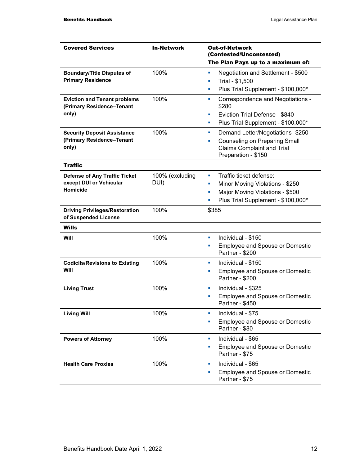| <b>Covered Services</b>                                                     | <b>In-Network</b>       | <b>Out-of-Network</b><br>(Contested/Uncontested)<br>The Plan Pays up to a maximum of:                                                                    |  |
|-----------------------------------------------------------------------------|-------------------------|----------------------------------------------------------------------------------------------------------------------------------------------------------|--|
| <b>Boundary/Title Disputes of</b><br><b>Primary Residence</b>               | 100%                    | Negotiation and Settlement - \$500<br>×<br>Trial - \$1,500<br>a,<br>Plus Trial Supplement - \$100,000*<br>×                                              |  |
| <b>Eviction and Tenant problems</b><br>(Primary Residence-Tenant<br>only)   | 100%                    | Correspondence and Negotiations -<br>a.<br>\$280<br>Eviction Trial Defense - \$840<br>×<br>Plus Trial Supplement - \$100,000*<br>×                       |  |
| <b>Security Deposit Assistance</b><br>(Primary Residence-Tenant<br>only)    | 100%                    | Demand Letter/Negotiations -\$250<br>ш<br><b>Counseling on Preparing Small</b><br>a,<br><b>Claims Complaint and Trial</b><br>Preparation - \$150         |  |
| <b>Traffic</b>                                                              |                         |                                                                                                                                                          |  |
| <b>Defense of Any Traffic Ticket</b><br>except DUI or Vehicular<br>Homicide | 100% (excluding<br>DUI) | Traffic ticket defense:<br>ш<br>Minor Moving Violations - \$250<br>×<br>Major Moving Violations - \$500<br>×<br>Plus Trial Supplement - \$100,000*<br>a, |  |
| <b>Driving Privileges/Restoration</b><br>of Suspended License               | 100%                    | \$385                                                                                                                                                    |  |
| Wills                                                                       |                         |                                                                                                                                                          |  |
| Will                                                                        | 100%                    | Individual - \$150<br>ш<br><b>Employee and Spouse or Domestic</b><br>×<br>Partner - \$200                                                                |  |
| <b>Codicils/Revisions to Existing</b><br>Will                               | 100%                    | Individual - \$150<br>ш<br>Employee and Spouse or Domestic<br>×<br>Partner - \$200                                                                       |  |
| <b>Living Trust</b>                                                         | 100%                    | Individual - \$325<br>×<br><b>Employee and Spouse or Domestic</b><br>×<br>Partner - \$450                                                                |  |
| <b>Living Will</b>                                                          | 100%                    | Individual - \$75<br>×<br>Employee and Spouse or Domestic<br>Partner - \$80                                                                              |  |
| <b>Powers of Attorney</b>                                                   | 100%                    | Individual - \$65<br>a.<br><b>Employee and Spouse or Domestic</b><br>×<br>Partner - \$75                                                                 |  |
| <b>Health Care Proxies</b>                                                  | 100%                    | Individual - \$65<br>$\blacksquare$<br><b>Employee and Spouse or Domestic</b><br>×<br>Partner - \$75                                                     |  |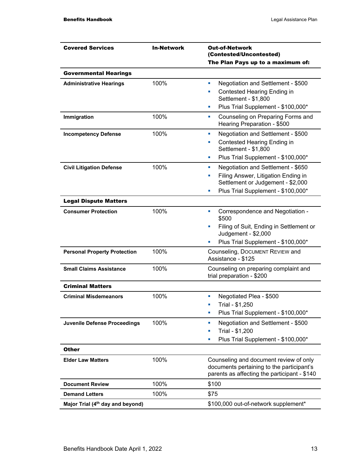| <b>Covered Services</b>                      | <b>In-Network</b> | <b>Out-of-Network</b><br>(Contested/Uncontested)                                                                                                                                 |  |
|----------------------------------------------|-------------------|----------------------------------------------------------------------------------------------------------------------------------------------------------------------------------|--|
|                                              |                   | The Plan Pays up to a maximum of:                                                                                                                                                |  |
| <b>Governmental Hearings</b>                 |                   |                                                                                                                                                                                  |  |
| <b>Administrative Hearings</b>               | 100%              | Negotiation and Settlement - \$500<br>ш<br>Contested Hearing Ending in<br>Settlement - \$1,800<br>Plus Trial Supplement - \$100,000*<br>ш                                        |  |
| Immigration                                  | 100%              | Counseling on Preparing Forms and<br>$\blacksquare$<br>Hearing Preparation - \$500                                                                                               |  |
| <b>Incompetency Defense</b>                  | 100%              | Negotiation and Settlement - \$500<br>٠<br>Contested Hearing Ending in<br>ш<br>Settlement - \$1,800<br>Plus Trial Supplement - \$100,000*<br>ш                                   |  |
| <b>Civil Litigation Defense</b>              | 100%              | Negotiation and Settlement - \$650<br>×<br>Filing Answer, Litigation Ending in<br>$\blacksquare$<br>Settlement or Judgement - \$2,000<br>Plus Trial Supplement - \$100,000*<br>ш |  |
| <b>Legal Dispute Matters</b>                 |                   |                                                                                                                                                                                  |  |
| <b>Consumer Protection</b>                   | 100%              | Correspondence and Negotiation -<br>$\blacksquare$<br>\$500<br>Filing of Suit, Ending in Settlement or<br>ш<br>Judgement - \$2,000<br>Plus Trial Supplement - \$100,000*         |  |
| <b>Personal Property Protection</b>          | 100%              | Counseling, DOCUMENT REVIEW and<br>Assistance - \$125                                                                                                                            |  |
| <b>Small Claims Assistance</b>               | 100%              | Counseling on preparing complaint and<br>trial preparation - \$200                                                                                                               |  |
| <b>Criminal Matters</b>                      |                   |                                                                                                                                                                                  |  |
| <b>Criminal Misdemeanors</b>                 | 100%              | Negotiated Plea - \$500<br>ш<br>Trial - \$1,250<br>×<br>Plus Trial Supplement - \$100,000*<br>ш                                                                                  |  |
| <b>Juvenile Defense Proceedings</b>          | 100%              | Negotiation and Settlement - \$500<br>ш<br>Trial - \$1,200<br>ш<br>Plus Trial Supplement - \$100,000*<br>×                                                                       |  |
| <b>Other</b>                                 |                   |                                                                                                                                                                                  |  |
| <b>Elder Law Matters</b>                     | 100%              | Counseling and document review of only<br>documents pertaining to the participant's<br>parents as affecting the participant - \$140                                              |  |
| <b>Document Review</b>                       | 100%              | \$100                                                                                                                                                                            |  |
| <b>Demand Letters</b>                        | 100%              | \$75                                                                                                                                                                             |  |
| Major Trial (4 <sup>th</sup> day and beyond) |                   | \$100,000 out-of-network supplement*                                                                                                                                             |  |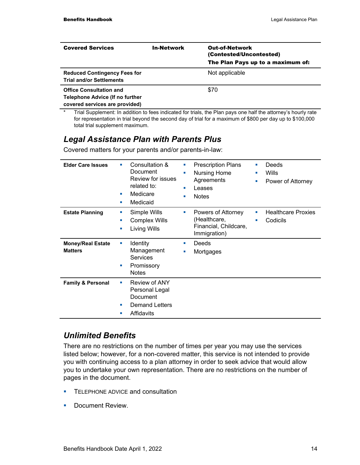| <b>Covered Services</b>                                                                                    | <b>In-Network</b> | <b>Out-of-Network</b><br>(Contested/Uncontested)<br>The Plan Pays up to a maximum of: |
|------------------------------------------------------------------------------------------------------------|-------------------|---------------------------------------------------------------------------------------|
| <b>Reduced Contingency Fees for</b><br><b>Trial and/or Settlements</b>                                     |                   | Not applicable                                                                        |
| <b>Office Consultation and</b><br><b>Telephone Advice (If no further</b><br>covered services are provided) |                   | \$70                                                                                  |

Trial Supplement: In addition to fees indicated for trials, the Plan pays one half the attorney's hourly rate for representation in trial beyond the second day of trial for a maximum of \$800 per day up to \$100,000 total trial supplement maximum.

### *Legal Assistance Plan with Parents Plus*

Covered matters for your parents and/or parents-in-law:

| <b>Elder Care Issues</b>                   | Consultation &<br><b>COL</b><br>Document<br>Review for issues<br>related to:<br>Medicare<br>٠<br>Medicaid<br><b>COL</b> | <b>Prescription Plans</b><br>ш<br><b>Nursing Home</b><br>٠<br>Agreements<br>Leases<br>п<br><b>Notes</b><br>٠ | Deeds<br>п<br>Wills<br>п<br>Power of Attorney<br>п |
|--------------------------------------------|-------------------------------------------------------------------------------------------------------------------------|--------------------------------------------------------------------------------------------------------------|----------------------------------------------------|
| <b>Estate Planning</b>                     | Simple Wills<br>ш<br><b>Complex Wills</b><br>п<br>Living Wills<br>п                                                     | Powers of Attorney<br>×<br>(Healthcare,<br>Financial, Childcare,<br>Immigration)                             | <b>Healthcare Proxies</b><br>ш<br>Codicils<br>٠    |
| <b>Money/Real Estate</b><br><b>Matters</b> | Identity<br>ш<br>Management<br>Services<br>Promissory<br>ш<br><b>Notes</b>                                              | Deeds<br>a.<br>Mortgages<br>п                                                                                |                                                    |
| <b>Family &amp; Personal</b>               | Review of ANY<br>п<br>Personal Legal<br>Document<br><b>Demand Letters</b><br>Affidavits<br>п                            |                                                                                                              |                                                    |

### *Unlimited Benefits*

There are no restrictions on the number of times per year you may use the services listed below; however, for a non-covered matter, this service is not intended to provide you with continuing access to a plan attorney in order to seek advice that would allow you to undertake your own representation. There are no restrictions on the number of pages in the document.

- **TELEPHONE ADVICE and consultation**
- **Document Review.**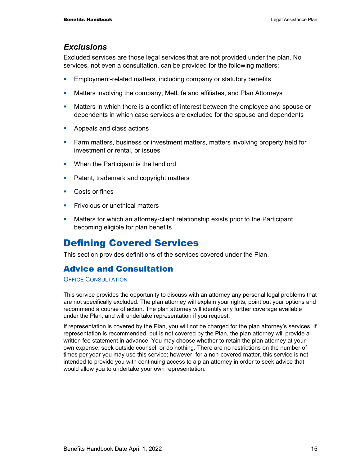### *Exclusions*

Excluded services are those legal services that are not provided under the plan. No services, not even a consultation, can be provided for the following matters:

- **Employment-related matters, including company or statutory benefits**
- **Matters involving the company, MetLife and affiliates, and Plan Attorneys**
- Matters in which there is a conflict of interest between the employee and spouse or dependents in which case services are excluded for the spouse and dependents
- **Appeals and class actions**
- **Farm matters, business or investment matters, matters involving property held for** investment or rental, or issues
- **When the Participant is the landlord**
- **Patent, trademark and copyright matters**
- **Costs or fines**
- **Fivolous or unethical matters**
- **Matters for which an attorney-client relationship exists prior to the Participant** becoming eligible for plan benefits

# Defining Covered Services

This section provides definitions of the services covered under the Plan.

### Advice and Consultation

#### **OFFICE CONSULTATION**

This service provides the opportunity to discuss with an attorney any personal legal problems that are not specifically excluded. The plan attorney will explain your rights, point out your options and recommend a course of action. The plan attorney will identify any further coverage available under the Plan, and will undertake representation if you request.

If representation is covered by the Plan, you will not be charged for the plan attorney's services. If representation is recommended, but is not covered by the Plan, the plan attorney will provide a written fee statement in advance. You may choose whether to retain the plan attorney at your own expense, seek outside counsel, or do nothing. There are no restrictions on the number of times per year you may use this service; however, for a non-covered matter, this service is not intended to provide you with continuing access to a plan attorney in order to seek advice that would allow you to undertake your own representation.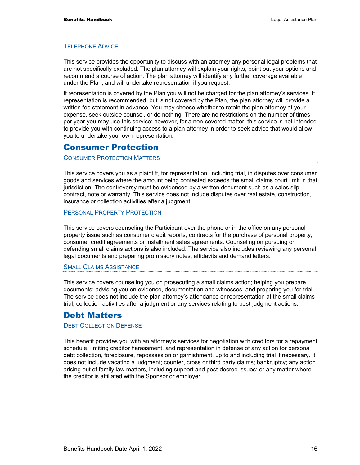#### TELEPHONE ADVICE

This service provides the opportunity to discuss with an attorney any personal legal problems that are not specifically excluded. The plan attorney will explain your rights, point out your options and recommend a course of action. The plan attorney will identify any further coverage available under the Plan, and will undertake representation if you request.

If representation is covered by the Plan you will not be charged for the plan attorney's services. If representation is recommended, but is not covered by the Plan, the plan attorney will provide a written fee statement in advance. You may choose whether to retain the plan attorney at your expense, seek outside counsel, or do nothing. There are no restrictions on the number of times per year you may use this service; however, for a non-covered matter, this service is not intended to provide you with continuing access to a plan attorney in order to seek advice that would allow you to undertake your own representation.

### Consumer Protection

CONSUMER PROTECTION MATTERS

This service covers you as a plaintiff, for representation, including trial, in disputes over consumer goods and services where the amount being contested exceeds the small claims court limit in that jurisdiction. The controversy must be evidenced by a written document such as a sales slip, contract, note or warranty. This service does not include disputes over real estate, construction, insurance or collection activities after a judgment.

PERSONAL PROPERTY PROTECTION

This service covers counseling the Participant over the phone or in the office on any personal property issue such as consumer credit reports, contracts for the purchase of personal property, consumer credit agreements or installment sales agreements. Counseling on pursuing or defending small claims actions is also included. The service also includes reviewing any personal legal documents and preparing promissory notes, affidavits and demand letters.

#### SMALL CLAIMS ASSISTANCE

This service covers counseling you on prosecuting a small claims action; helping you prepare documents; advising you on evidence, documentation and witnesses; and preparing you for trial. The service does not include the plan attorney's attendance or representation at the small claims trial, collection activities after a judgment or any services relating to post-judgment actions.

### Debt Matters

#### DEBT COLLECTION DEFENSE

This benefit provides you with an attorney's services for negotiation with creditors for a repayment schedule, limiting creditor harassment, and representation in defense of any action for personal debt collection, foreclosure, repossession or garnishment, up to and including trial if necessary. It does not include vacating a judgment; counter, cross or third party claims; bankruptcy; any action arising out of family law matters, including support and post-decree issues; or any matter where the creditor is affiliated with the Sponsor or employer.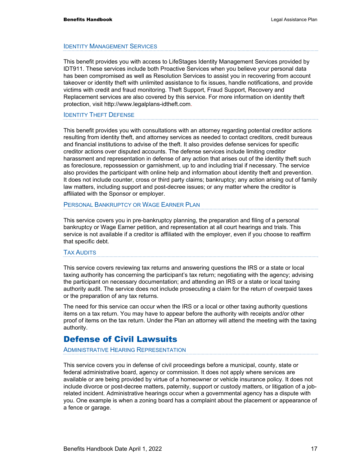#### IDENTITY MANAGEMENT SERVICES

This benefit provides you with access to LifeStages Identity Management Services provided by IDT911. These services include both Proactive Services when you believe your personal data has been compromised as well as Resolution Services to assist you in recovering from account takeover or identity theft with unlimited assistance to fix issues, handle notifications, and provide victims with credit and fraud monitoring. Theft Support, Fraud Support, Recovery and Replacement services are also covered by this service. For more information on identity theft protection, visit http://www.legalplans-idtheft.com.

#### IDENTITY THEFT DEFENSE

This benefit provides you with consultations with an attorney regarding potential creditor actions resulting from identity theft, and attorney services as needed to contact creditors, credit bureaus and financial institutions to advise of the theft. It also provides defense services for specific creditor actions over disputed accounts. The defense services include limiting creditor harassment and representation in defense of any action that arises out of the identity theft such as foreclosure, repossession or garnishment, up to and including trial if necessary. The service also provides the participant with online help and information about identity theft and prevention. It does not include counter, cross or third party claims; bankruptcy; any action arising out of family law matters, including support and post-decree issues; or any matter where the creditor is affiliated with the Sponsor or employer.

#### PERSONAL BANKRUPTCY OR WAGE EARNER PLAN

This service covers you in pre-bankruptcy planning, the preparation and filing of a personal bankruptcy or Wage Earner petition, and representation at all court hearings and trials. This service is not available if a creditor is affiliated with the employer, even if you choose to reaffirm that specific debt.

#### TAX AUDITS

This service covers reviewing tax returns and answering questions the IRS or a state or local taxing authority has concerning the participant's tax return; negotiating with the agency; advising the participant on necessary documentation; and attending an IRS or a state or local taxing authority audit. The service does not include prosecuting a claim for the return of overpaid taxes or the preparation of any tax returns.

The need for this service can occur when the IRS or a local or other taxing authority questions items on a tax return. You may have to appear before the authority with receipts and/or other proof of items on the tax return. Under the Plan an attorney will attend the meeting with the taxing authority.

### Defense of Civil Lawsuits

#### ADMINISTRATIVE HEARING REPRESENTATION

This service covers you in defense of civil proceedings before a municipal, county, state or federal administrative board, agency or commission. It does not apply where services are available or are being provided by virtue of a homeowner or vehicle insurance policy. It does not include divorce or post-decree matters, paternity, support or custody matters, or litigation of a jobrelated incident. Administrative hearings occur when a governmental agency has a dispute with you. One example is when a zoning board has a complaint about the placement or appearance of a fence or garage.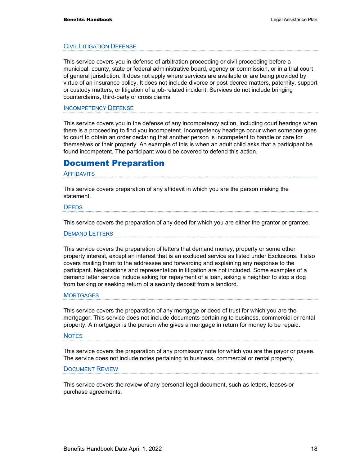#### CIVIL LITIGATION DEFENSE

This service covers you in defense of arbitration proceeding or civil proceeding before a municipal, county, state or federal administrative board, agency or commission, or in a trial court of general jurisdiction. It does not apply where services are available or are being provided by virtue of an insurance policy. It does not include divorce or post-decree matters, paternity, support or custody matters, or litigation of a job-related incident. Services do not include bringing counterclaims, third-party or cross claims.

#### INCOMPETENCY DEFENSE

This service covers you in the defense of any incompetency action, including court hearings when there is a proceeding to find you incompetent. Incompetency hearings occur when someone goes to court to obtain an order declaring that another person is incompetent to handle or care for themselves or their property. An example of this is when an adult child asks that a participant be found incompetent. The participant would be covered to defend this action.

### Document Preparation

#### **AFFIDAVITS**

This service covers preparation of any affidavit in which you are the person making the statement.

#### **DEEDS**

This service covers the preparation of any deed for which you are either the grantor or grantee.

DEMAND LETTERS

This service covers the preparation of letters that demand money, property or some other property interest, except an interest that is an excluded service as listed under Exclusions. It also covers mailing them to the addressee and forwarding and explaining any response to the participant. Negotiations and representation in litigation are not included. Some examples of a demand letter service include asking for repayment of a loan, asking a neighbor to stop a dog from barking or seeking return of a security deposit from a landlord.

#### **MORTGAGES**

This service covers the preparation of any mortgage or deed of trust for which you are the mortgagor. This service does not include documents pertaining to business, commercial or rental property. A mortgagor is the person who gives a mortgage in return for money to be repaid.

#### **NOTES**

This service covers the preparation of any promissory note for which you are the payor or payee. The service does not include notes pertaining to business, commercial or rental property.

#### DOCUMENT REVIEW

This service covers the review of any personal legal document, such as letters, leases or purchase agreements.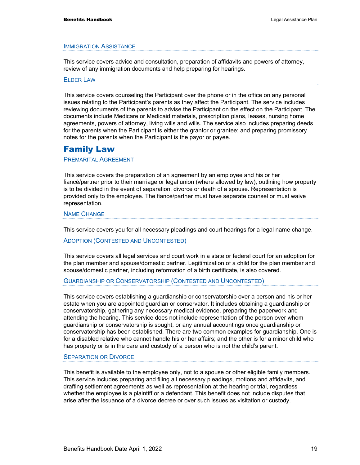#### IMMIGRATION ASSISTANCE

This service covers advice and consultation, preparation of affidavits and powers of attorney, review of any immigration documents and help preparing for hearings.

#### ELDER LAW

This service covers counseling the Participant over the phone or in the office on any personal issues relating to the Participant's parents as they affect the Participant. The service includes reviewing documents of the parents to advise the Participant on the effect on the Participant. The documents include Medicare or Medicaid materials, prescription plans, leases, nursing home agreements, powers of attorney, living wills and wills. The service also includes preparing deeds for the parents when the Participant is either the grantor or grantee; and preparing promissory notes for the parents when the Participant is the payor or payee.

### Family Law

#### PREMARITAL AGREEMENT

This service covers the preparation of an agreement by an employee and his or her fiancé/partner prior to their marriage or legal union (where allowed by law), outlining how property is to be divided in the event of separation, divorce or death of a spouse. Representation is provided only to the employee. The fiancé/partner must have separate counsel or must waive representation.

#### NAME CHANGE

This service covers you for all necessary pleadings and court hearings for a legal name change.

#### ADOPTION (CONTESTED AND UNCONTESTED)

This service covers all legal services and court work in a state or federal court for an adoption for the plan member and spouse/domestic partner. Legitimization of a child for the plan member and spouse/domestic partner, including reformation of a birth certificate, is also covered.

#### GUARDIANSHIP OR CONSERVATORSHIP (CONTESTED AND UNCONTESTED)

This service covers establishing a guardianship or conservatorship over a person and his or her estate when you are appointed guardian or conservator. It includes obtaining a guardianship or conservatorship, gathering any necessary medical evidence, preparing the paperwork and attending the hearing. This service does not include representation of the person over whom guardianship or conservatorship is sought, or any annual accountings once guardianship or conservatorship has been established. There are two common examples for guardianship. One is for a disabled relative who cannot handle his or her affairs; and the other is for a minor child who has property or is in the care and custody of a person who is not the child's parent.

#### SEPARATION OR DIVORCE

This benefit is available to the employee only, not to a spouse or other eligible family members. This service includes preparing and filing all necessary pleadings, motions and affidavits, and drafting settlement agreements as well as representation at the hearing or trial, regardless whether the employee is a plaintiff or a defendant. This benefit does not include disputes that arise after the issuance of a divorce decree or over such issues as visitation or custody.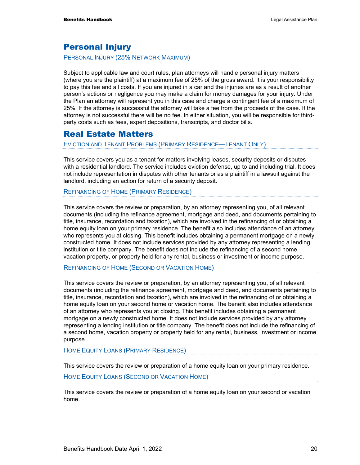### Personal Injury

PERSONAL INJURY (25% NETWORK MAXIMUM)

Subject to applicable law and court rules, plan attorneys will handle personal injury matters (where you are the plaintiff) at a maximum fee of 25% of the gross award. It is your responsibility to pay this fee and all costs. If you are injured in a car and the injuries are as a result of another person's actions or negligence you may make a claim for money damages for your injury. Under the Plan an attorney will represent you in this case and charge a contingent fee of a maximum of 25%. If the attorney is successful the attorney will take a fee from the proceeds of the case. If the attorney is not successful there will be no fee. In either situation, you will be responsible for thirdparty costs such as fees, expert depositions, transcripts, and doctor bills.

### Real Estate Matters

EVICTION AND TENANT PROBLEMS (PRIMARY RESIDENCE—TENANT ONLY)

This service covers you as a tenant for matters involving leases, security deposits or disputes with a residential landlord. The service includes eviction defense, up to and including trial. It does not include representation in disputes with other tenants or as a plaintiff in a lawsuit against the landlord, including an action for return of a security deposit.

REFINANCING OF HOME (PRIMARY RESIDENCE)

This service covers the review or preparation, by an attorney representing you, of all relevant documents (including the refinance agreement, mortgage and deed, and documents pertaining to title, insurance, recordation and taxation), which are involved in the refinancing of or obtaining a home equity loan on your primary residence. The benefit also includes attendance of an attorney who represents you at closing. This benefit includes obtaining a permanent mortgage on a newly constructed home. It does not include services provided by any attorney representing a lending institution or title company. The benefit does not include the refinancing of a second home, vacation property, or property held for any rental, business or investment or income purpose.

REFINANCING OF HOME (SECOND OR VACATION HOME)

This service covers the review or preparation, by an attorney representing you, of all relevant documents (including the refinance agreement, mortgage and deed, and documents pertaining to title, insurance, recordation and taxation), which are involved in the refinancing of or obtaining a home equity loan on your second home or vacation home. The benefit also includes attendance of an attorney who represents you at closing. This benefit includes obtaining a permanent mortgage on a newly constructed home. It does not include services provided by any attorney representing a lending institution or title company. The benefit does not include the refinancing of a second home, vacation property or property held for any rental, business, investment or income purpose.

HOME EQUITY LOANS (PRIMARY RESIDENCE)

This service covers the review or preparation of a home equity loan on your primary residence.

HOME EQUITY LOANS (SECOND OR VACATION HOME)

This service covers the review or preparation of a home equity loan on your second or vacation home.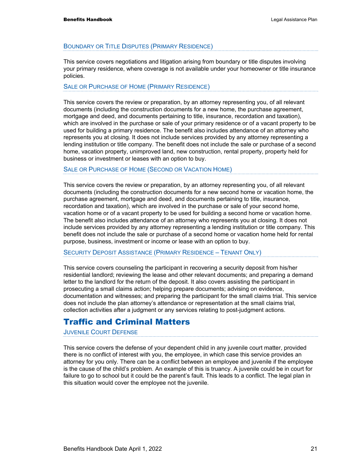#### BOUNDARY OR TITLE DISPUTES (PRIMARY RESIDENCE)

This service covers negotiations and litigation arising from boundary or title disputes involving your primary residence, where coverage is not available under your homeowner or title insurance policies.

#### SALE OR PURCHASE OF HOME (PRIMARY RESIDENCE)

This service covers the review or preparation, by an attorney representing you, of all relevant documents (including the construction documents for a new home, the purchase agreement, mortgage and deed, and documents pertaining to title, insurance, recordation and taxation), which are involved in the purchase or sale of your primary residence or of a vacant property to be used for building a primary residence. The benefit also includes attendance of an attorney who represents you at closing. It does not include services provided by any attorney representing a lending institution or title company. The benefit does not include the sale or purchase of a second home, vacation property, unimproved land, new construction, rental property, property held for business or investment or leases with an option to buy.

#### SALE OR PURCHASE OF HOME (SECOND OR VACATION HOME)

This service covers the review or preparation, by an attorney representing you, of all relevant documents (including the construction documents for a new second home or vacation home, the purchase agreement, mortgage and deed, and documents pertaining to title, insurance, recordation and taxation), which are involved in the purchase or sale of your second home, vacation home or of a vacant property to be used for building a second home or vacation home. The benefit also includes attendance of an attorney who represents you at closing. It does not include services provided by any attorney representing a lending institution or title company. This benefit does not include the sale or purchase of a second home or vacation home held for rental purpose, business, investment or income or lease with an option to buy.

SECURITY DEPOSIT ASSISTANCE (PRIMARY RESIDENCE – TENANT ONLY)

This service covers counseling the participant in recovering a security deposit from his/her residential landlord; reviewing the lease and other relevant documents; and preparing a demand letter to the landlord for the return of the deposit. It also covers assisting the participant in prosecuting a small claims action; helping prepare documents; advising on evidence, documentation and witnesses; and preparing the participant for the small claims trial. This service does not include the plan attorney's attendance or representation at the small claims trial, collection activities after a judgment or any services relating to post-judgment actions.

### Traffic and Criminal Matters

JUVENILE COURT DEFENSE

This service covers the defense of your dependent child in any juvenile court matter, provided there is no conflict of interest with you, the employee, in which case this service provides an attorney for you only. There can be a conflict between an employee and juvenile if the employee is the cause of the child's problem. An example of this is truancy. A juvenile could be in court for failure to go to school but it could be the parent's fault. This leads to a conflict. The legal plan in this situation would cover the employee not the juvenile.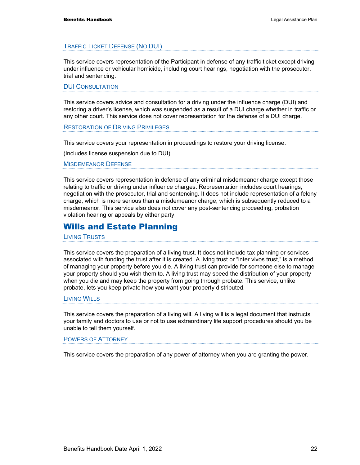#### TRAFFIC TICKET DEFENSE (NO DUI)

This service covers representation of the Participant in defense of any traffic ticket except driving under influence or vehicular homicide, including court hearings, negotiation with the prosecutor, trial and sentencing.

#### DUI CONSULTATION

This service covers advice and consultation for a driving under the influence charge (DUI) and restoring a driver's license, which was suspended as a result of a DUI charge whether in traffic or any other court. This service does not cover representation for the defense of a DUI charge.

#### RESTORATION OF DRIVING PRIVILEGES

This service covers your representation in proceedings to restore your driving license.

(Includes license suspension due to DUI).

MISDEMEANOR DEFENSE

This service covers representation in defense of any criminal misdemeanor charge except those relating to traffic or driving under influence charges. Representation includes court hearings, negotiation with the prosecutor, trial and sentencing. It does not include representation of a felony charge, which is more serious than a misdemeanor charge, which is subsequently reduced to a misdemeanor. This service also does not cover any post-sentencing proceeding, probation violation hearing or appeals by either party.

### Wills and Estate Planning

LIVING TRUSTS

This service covers the preparation of a living trust. It does not include tax planning or services associated with funding the trust after it is created. A living trust or "inter vivos trust," is a method of managing your property before you die. A living trust can provide for someone else to manage your property should you wish them to. A living trust may speed the distribution of your property when you die and may keep the property from going through probate. This service, unlike probate, lets you keep private how you want your property distributed.

LIVING WILLS

This service covers the preparation of a living will. A living will is a legal document that instructs your family and doctors to use or not to use extraordinary life support procedures should you be unable to tell them yourself.

#### POWERS OF ATTORNEY

This service covers the preparation of any power of attorney when you are granting the power.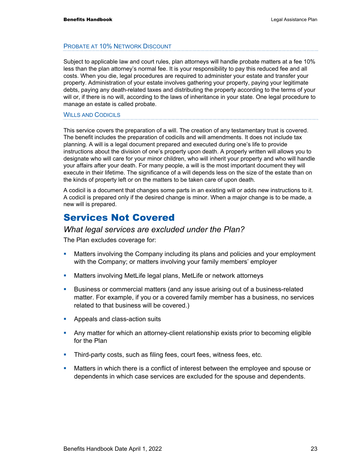#### PROBATE AT 10% NETWORK DISCOUNT

Subject to applicable law and court rules, plan attorneys will handle probate matters at a fee 10% less than the plan attorney's normal fee. It is your responsibility to pay this reduced fee and all costs. When you die, legal procedures are required to administer your estate and transfer your property. Administration of your estate involves gathering your property, paying your legitimate debts, paying any death-related taxes and distributing the property according to the terms of your will or, if there is no will, according to the laws of inheritance in your state. One legal procedure to manage an estate is called probate.

#### WILLS AND CODICILS

This service covers the preparation of a will. The creation of any testamentary trust is covered. The benefit includes the preparation of codicils and will amendments. It does not include tax planning. A will is a legal document prepared and executed during one's life to provide instructions about the division of one's property upon death. A properly written will allows you to designate who will care for your minor children, who will inherit your property and who will handle your affairs after your death. For many people, a will is the most important document they will execute in their lifetime. The significance of a will depends less on the size of the estate than on the kinds of property left or on the matters to be taken care of upon death.

A codicil is a document that changes some parts in an existing will or adds new instructions to it. A codicil is prepared only if the desired change is minor. When a major change is to be made, a new will is prepared.

### Services Not Covered

#### *What legal services are excluded under the Plan?*

The Plan excludes coverage for:

- **Matters involving the Company including its plans and policies and your employment** with the Company; or matters involving your family members' employer
- **Matters involving MetLife legal plans, MetLife or network attorneys**
- Business or commercial matters (and any issue arising out of a business-related matter. For example, if you or a covered family member has a business, no services related to that business will be covered.)
- **Appeals and class-action suits**
- Any matter for which an attorney-client relationship exists prior to becoming eligible for the Plan
- **Third-party costs, such as filing fees, court fees, witness fees, etc.**
- Matters in which there is a conflict of interest between the employee and spouse or dependents in which case services are excluded for the spouse and dependents.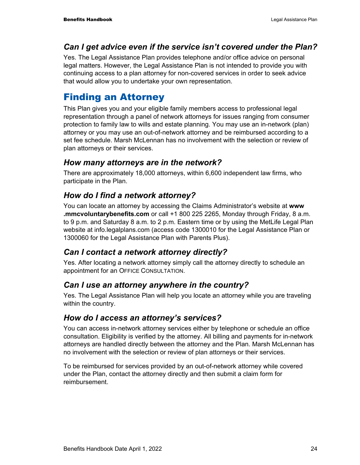### *Can I get advice even if the service isn't covered under the Plan?*

Yes. The Legal Assistance Plan provides telephone and/or office advice on personal legal matters. However, the Legal Assistance Plan is not intended to provide you with continuing access to a plan attorney for non-covered services in order to seek advice that would allow you to undertake your own representation.

# Finding an Attorney

This Plan gives you and your eligible family members access to professional legal representation through a panel of network attorneys for issues ranging from consumer protection to family law to wills and estate planning. You may use an in-network (plan) attorney or you may use an out-of-network attorney and be reimbursed according to a set fee schedule. Marsh McLennan has no involvement with the selection or review of plan attorneys or their services.

### *How many attorneys are in the network?*

There are approximately 18,000 attorneys, within 6,600 independent law firms, who participate in the Plan.

### *How do I find a network attorney?*

You can locate an attorney by accessing the Claims Administrator's website at **www .mmcvoluntarybenefits.com** or call +1 800 225 2265, Monday through Friday, 8 a.m. to 9 p.m. and Saturday 8 a.m. to 2 p.m. Eastern time or by using the MetLife Legal Plan website at info.legalplans.com (access code 1300010 for the Legal Assistance Plan or 1300060 for the Legal Assistance Plan with Parents Plus).

### *Can I contact a network attorney directly?*

Yes. After locating a network attorney simply call the attorney directly to schedule an appointment for an OFFICE CONSULTATION.

### *Can I use an attorney anywhere in the country?*

Yes. The Legal Assistance Plan will help you locate an attorney while you are traveling within the country.

### *How do I access an attorney's services?*

You can access in-network attorney services either by telephone or schedule an office consultation. Eligibility is verified by the attorney. All billing and payments for in-network attorneys are handled directly between the attorney and the Plan. Marsh McLennan has no involvement with the selection or review of plan attorneys or their services.

To be reimbursed for services provided by an out-of-network attorney while covered under the Plan, contact the attorney directly and then submit a claim form for reimbursement.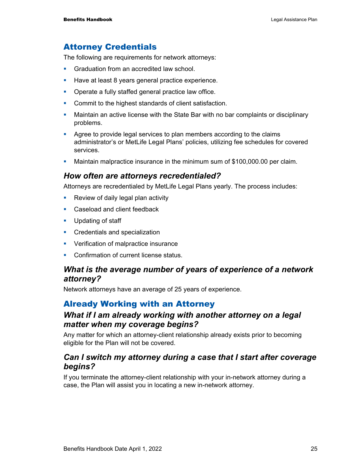### Attorney Credentials

The following are requirements for network attorneys:

- **Graduation from an accredited law school.**
- Have at least 8 years general practice experience.
- **•** Operate a fully staffed general practice law office.
- **Commit to the highest standards of client satisfaction.**
- Maintain an active license with the State Bar with no bar complaints or disciplinary problems.
- Agree to provide legal services to plan members according to the claims administrator's or MetLife Legal Plans' policies, utilizing fee schedules for covered services.
- **Maintain malpractice insurance in the minimum sum of \$100,000.00 per claim.**

### *How often are attorneys recredentialed?*

Attorneys are recredentialed by MetLife Legal Plans yearly. The process includes:

- **Review of daily legal plan activity**
- **Caseload and client feedback**
- **Updating of staff**
- **Credentials and specialization**
- **•** Verification of malpractice insurance
- **Confirmation of current license status.**

### *What is the average number of years of experience of a network attorney?*

Network attorneys have an average of 25 years of experience.

### Already Working with an Attorney

### *What if I am already working with another attorney on a legal matter when my coverage begins?*

Any matter for which an attorney-client relationship already exists prior to becoming eligible for the Plan will not be covered.

### *Can I switch my attorney during a case that I start after coverage begins?*

If you terminate the attorney-client relationship with your in-network attorney during a case, the Plan will assist you in locating a new in-network attorney.